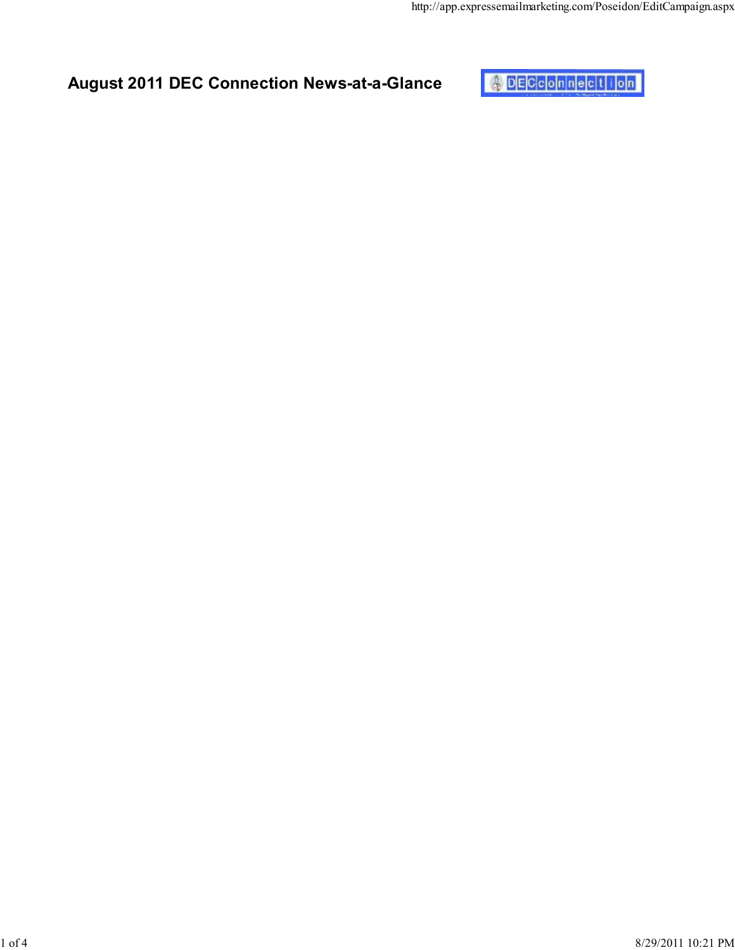

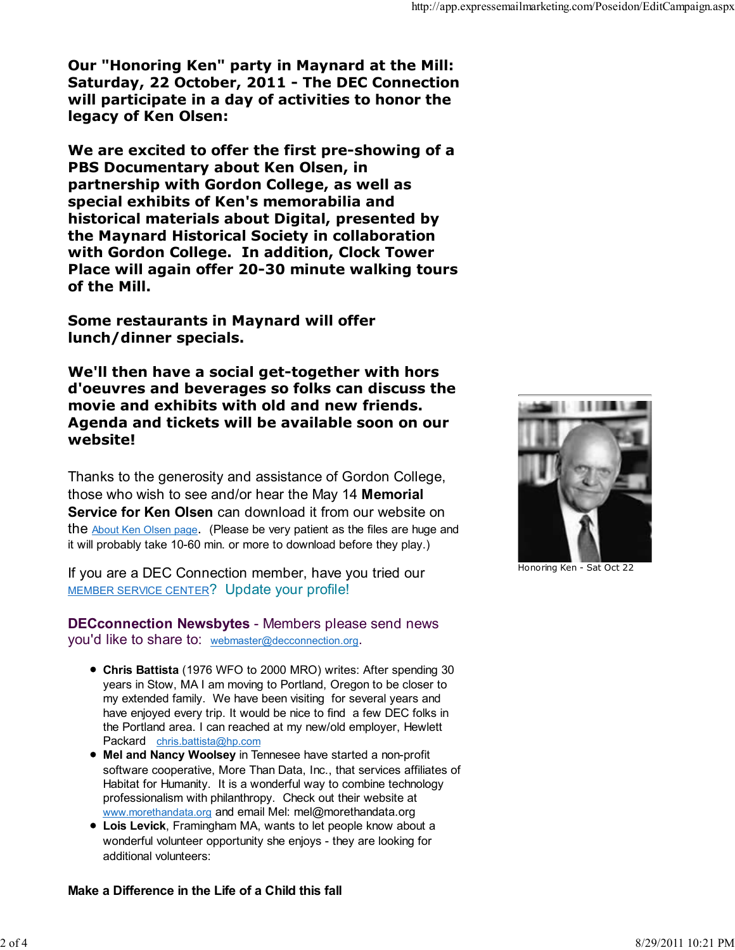Our "Honoring Ken" party in Maynard at the Mill: Saturday, 22 October, 2011 - The DEC Connection will participate in a day of activities to honor the legacy of Ken Olsen:

We are excited to offer the first pre-showing of a PBS Documentary about Ken Olsen, in partnership with Gordon College, as well as special exhibits of Ken's memorabilia and historical materials about Digital, presented by the Maynard Historical Society in collaboration with Gordon College. In addition, Clock Tower Place will again offer 20-30 minute walking tours of the Mill.

Some restaurants in Maynard will offer lunch/dinner specials.

We'll then have a social get-together with hors d'oeuvres and beverages so folks can discuss the movie and exhibits with old and new friends. Agenda and tickets will be available soon on our website!

Thanks to the generosity and assistance of Gordon College, those who wish to see and/or hear the May 14 Memorial Service for Ken Olsen can download it from our website on the About Ken Olsen page. (Please be very patient as the files are huge and it will probably take 10-60 min. or more to download before they play.)

If you are a DEC Connection member, have you tried our MEMBER SERVICE CENTER? Update your profile!

DECconnection Newsbytes - Members please send news you'd like to share to: webmaster@decconnection.org.

- Chris Battista (1976 WFO to 2000 MRO) writes: After spending 30 years in Stow, MA I am moving to Portland, Oregon to be closer to my extended family. We have been visiting for several years and have enjoyed every trip. It would be nice to find a few DEC folks in the Portland area. I can reached at my new/old employer, Hewlett Packard chris.battista@hp.com
- Mel and Nancy Woolsey in Tennesee have started a non-profit software cooperative, More Than Data, Inc., that services affiliates of Habitat for Humanity. It is a wonderful way to combine technology professionalism with philanthropy. Check out their website at www.morethandata.org and email Mel: mel@morethandata.org
- Lois Levick, Framingham MA, wants to let people know about a wonderful volunteer opportunity she enjoys - they are looking for additional volunteers:



Honoring Ken - Sat Oct 22

## Make a Difference in the Life of a Child this fall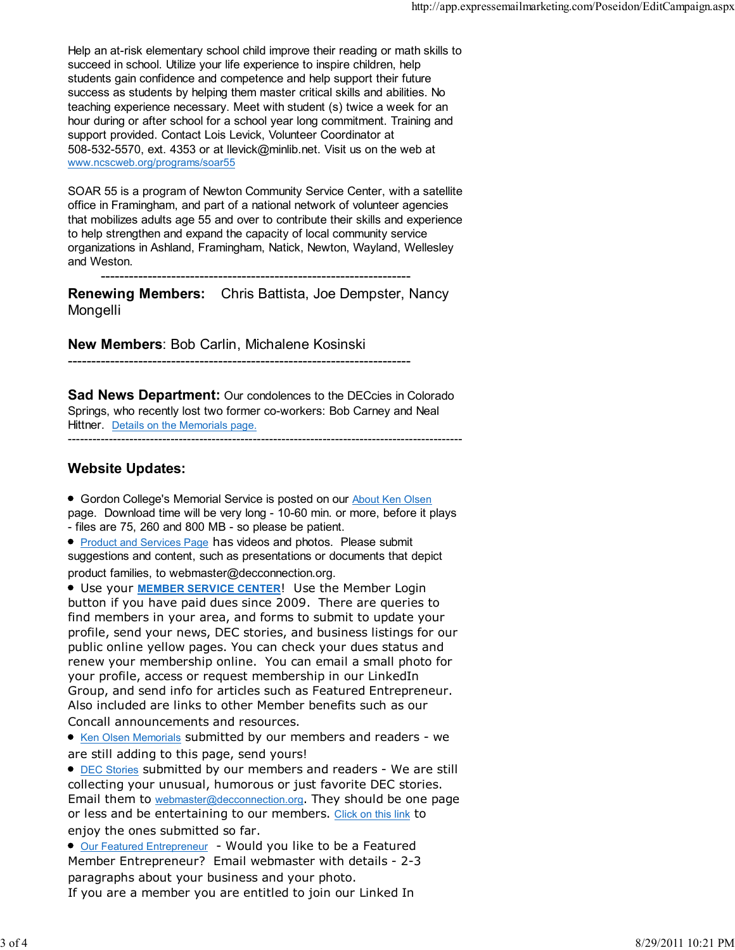Help an at-risk elementary school child improve their reading or math skills to succeed in school. Utilize your life experience to inspire children, help students gain confidence and competence and help support their future success as students by helping them master critical skills and abilities. No teaching experience necessary. Meet with student (s) twice a week for an hour during or after school for a school year long commitment. Training and support provided. Contact Lois Levick, Volunteer Coordinator at 508-532-5570, ext. 4353 or at llevick@minlib.net. Visit us on the web at www.ncscweb.org/programs/soar55

SOAR 55 is a program of Newton Community Service Center, with a satellite office in Framingham, and part of a national network of volunteer agencies that mobilizes adults age 55 and over to contribute their skills and experience to help strengthen and expand the capacity of local community service organizations in Ashland, Framingham, Natick, Newton, Wayland, Wellesley and Weston.

------------------------------------------------------------------

Renewing Members: Chris Battista, Joe Dempster, Nancy Mongelli

New Members: Bob Carlin, Michalene Kosinski

-------------------------------------------------------------------------

**Sad News Department:** Our condolences to the DECcies in Colorado Springs, who recently lost two former co-workers: Bob Carney and Neal Hittner. Details on the Memorials page.

------------------------------------------------------------------------------------------------

## Website Updates:

Gordon College's Memorial Service is posted on our About Ken Olsen page. Download time will be very long - 10-60 min. or more, before it plays - files are 75, 260 and 800 MB - so please be patient.

**• Product and Services Page has videos and photos. Please submit** suggestions and content, such as presentations or documents that depict product families, to webmaster@decconnection.org.

**• Use your MEMBER SERVICE CENTER! Use the Member Login** button if you have paid dues since 2009. There are queries to find members in your area, and forms to submit to update your profile, send your news, DEC stories, and business listings for our public online yellow pages. You can check your dues status and renew your membership online. You can email a small photo for your profile, access or request membership in our LinkedIn Group, and send info for articles such as Featured Entrepreneur. Also included are links to other Member benefits such as our Concall announcements and resources.

• Ken Olsen Memorials submitted by our members and readers - we are still adding to this page, send yours!

**• DEC Stories submitted by our members and readers - We are still** collecting your unusual, humorous or just favorite DEC stories. Email them to webmaster@decconnection.org. They should be one page or less and be entertaining to our members. Click on this link to enjoy the ones submitted so far.

● Our Featured Entrepreneur - Would you like to be a Featured Member Entrepreneur? Email webmaster with details - 2-3 paragraphs about your business and your photo.

If you are a member you are entitled to join our Linked In